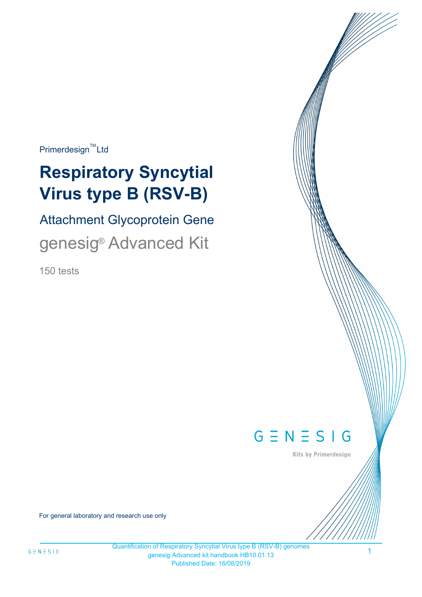$Primerdesign^{\text{TM}}$ Ltd

# **Respiratory Syncytial Virus type B (RSV-B)**

Attachment Glycoprotein Gene genesig<sup>®</sup> Advanced Kit

150 tests



Kits by Primerdesign

For general laboratory and research use only

1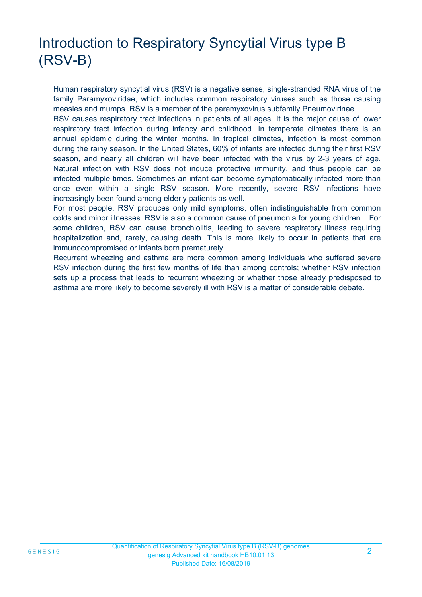# Introduction to Respiratory Syncytial Virus type B (RSV-B)

Human respiratory syncytial virus (RSV) is a negative sense, single-stranded RNA virus of the family Paramyxoviridae, which includes common respiratory viruses such as those causing measles and mumps. RSV is a member of the paramyxovirus subfamily Pneumovirinae.

RSV causes respiratory tract infections in patients of all ages. It is the major cause of lower respiratory tract infection during infancy and childhood. In temperate climates there is an annual epidemic during the winter months. In tropical climates, infection is most common during the rainy season. In the United States, 60% of infants are infected during their first RSV season, and nearly all children will have been infected with the virus by 2-3 years of age. Natural infection with RSV does not induce protective immunity, and thus people can be infected multiple times. Sometimes an infant can become symptomatically infected more than once even within a single RSV season. More recently, severe RSV infections have increasingly been found among elderly patients as well.

For most people, RSV produces only mild symptoms, often indistinguishable from common colds and minor illnesses. RSV is also a common cause of pneumonia for young children. For some children, RSV can cause bronchiolitis, leading to severe respiratory illness requiring hospitalization and, rarely, causing death. This is more likely to occur in patients that are immunocompromised or infants born prematurely.

Recurrent wheezing and asthma are more common among individuals who suffered severe RSV infection during the first few months of life than among controls; whether RSV infection sets up a process that leads to recurrent wheezing or whether those already predisposed to asthma are more likely to become severely ill with RSV is a matter of considerable debate.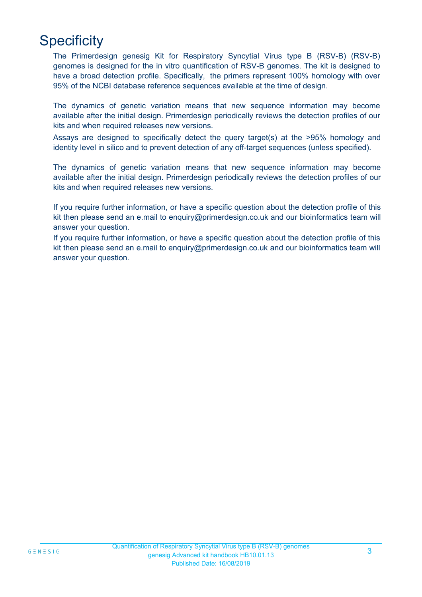# **Specificity**

The Primerdesign genesig Kit for Respiratory Syncytial Virus type B (RSV-B) (RSV-B) genomes is designed for the in vitro quantification of RSV-B genomes. The kit is designed to have a broad detection profile. Specifically, the primers represent 100% homology with over 95% of the NCBI database reference sequences available at the time of design.

The dynamics of genetic variation means that new sequence information may become available after the initial design. Primerdesign periodically reviews the detection profiles of our kits and when required releases new versions.

Assays are designed to specifically detect the query target(s) at the >95% homology and identity level in silico and to prevent detection of any off-target sequences (unless specified).

The dynamics of genetic variation means that new sequence information may become available after the initial design. Primerdesign periodically reviews the detection profiles of our kits and when required releases new versions.

If you require further information, or have a specific question about the detection profile of this kit then please send an e.mail to enquiry@primerdesign.co.uk and our bioinformatics team will answer your question.

If you require further information, or have a specific question about the detection profile of this kit then please send an e.mail to enquiry@primerdesign.co.uk and our bioinformatics team will answer your question.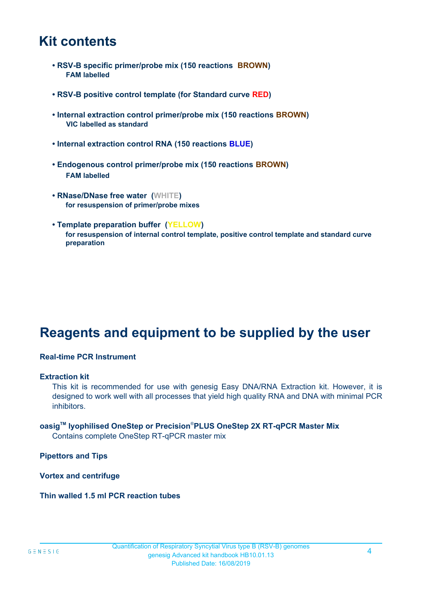### **Kit contents**

- **RSV-B specific primer/probe mix (150 reactions BROWN) FAM labelled**
- **RSV-B positive control template (for Standard curve RED)**
- **Internal extraction control primer/probe mix (150 reactions BROWN) VIC labelled as standard**
- **Internal extraction control RNA (150 reactions BLUE)**
- **Endogenous control primer/probe mix (150 reactions BROWN) FAM labelled**
- **RNase/DNase free water (WHITE) for resuspension of primer/probe mixes**
- **Template preparation buffer (YELLOW) for resuspension of internal control template, positive control template and standard curve preparation**

# **Reagents and equipment to be supplied by the user**

#### **Real-time PCR Instrument**

#### **Extraction kit**

This kit is recommended for use with genesig Easy DNA/RNA Extraction kit. However, it is designed to work well with all processes that yield high quality RNA and DNA with minimal PCR inhibitors.

### **oasigTM lyophilised OneStep or Precision**®**PLUS OneStep 2X RT-qPCR Master Mix**

Contains complete OneStep RT-qPCR master mix

**Pipettors and Tips**

**Vortex and centrifuge**

#### **Thin walled 1.5 ml PCR reaction tubes**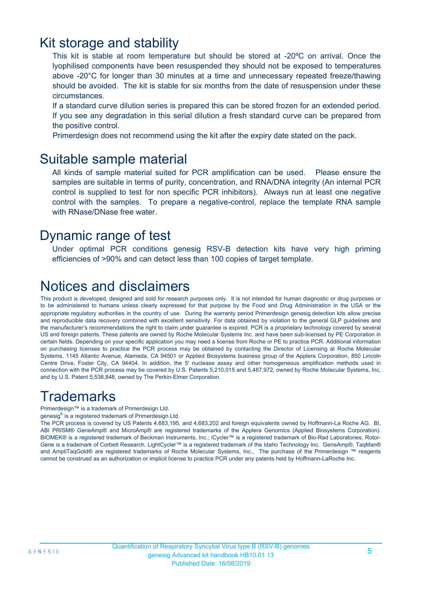### Kit storage and stability

This kit is stable at room temperature but should be stored at -20ºC on arrival. Once the lyophilised components have been resuspended they should not be exposed to temperatures above -20°C for longer than 30 minutes at a time and unnecessary repeated freeze/thawing should be avoided. The kit is stable for six months from the date of resuspension under these circumstances.

If a standard curve dilution series is prepared this can be stored frozen for an extended period. If you see any degradation in this serial dilution a fresh standard curve can be prepared from the positive control.

Primerdesign does not recommend using the kit after the expiry date stated on the pack.

### Suitable sample material

All kinds of sample material suited for PCR amplification can be used. Please ensure the samples are suitable in terms of purity, concentration, and RNA/DNA integrity (An internal PCR control is supplied to test for non specific PCR inhibitors). Always run at least one negative control with the samples. To prepare a negative-control, replace the template RNA sample with RNase/DNase free water.

### Dynamic range of test

Under optimal PCR conditions genesig RSV-B detection kits have very high priming efficiencies of >90% and can detect less than 100 copies of target template.

# Notices and disclaimers

This product is developed, designed and sold for research purposes only. It is not intended for human diagnostic or drug purposes or to be administered to humans unless clearly expressed for that purpose by the Food and Drug Administration in the USA or the appropriate regulatory authorities in the country of use. During the warranty period Primerdesign genesig detection kits allow precise and reproducible data recovery combined with excellent sensitivity. For data obtained by violation to the general GLP guidelines and the manufacturer's recommendations the right to claim under guarantee is expired. PCR is a proprietary technology covered by several US and foreign patents. These patents are owned by Roche Molecular Systems Inc. and have been sub-licensed by PE Corporation in certain fields. Depending on your specific application you may need a license from Roche or PE to practice PCR. Additional information on purchasing licenses to practice the PCR process may be obtained by contacting the Director of Licensing at Roche Molecular Systems, 1145 Atlantic Avenue, Alameda, CA 94501 or Applied Biosystems business group of the Applera Corporation, 850 Lincoln Centre Drive, Foster City, CA 94404. In addition, the 5' nuclease assay and other homogeneous amplification methods used in connection with the PCR process may be covered by U.S. Patents 5,210,015 and 5,487,972, owned by Roche Molecular Systems, Inc, and by U.S. Patent 5,538,848, owned by The Perkin-Elmer Corporation.

# **Trademarks**

Primerdesign™ is a trademark of Primerdesign Ltd.

genesig® is a registered trademark of Primerdesign Ltd.

The PCR process is covered by US Patents 4,683,195, and 4,683,202 and foreign equivalents owned by Hoffmann-La Roche AG. BI, ABI PRISM® GeneAmp® and MicroAmp® are registered trademarks of the Applera Genomics (Applied Biosystems Corporation). BIOMEK® is a registered trademark of Beckman Instruments, Inc.; iCycler™ is a registered trademark of Bio-Rad Laboratories, Rotor-Gene is a trademark of Corbett Research. LightCycler™ is a registered trademark of the Idaho Technology Inc. GeneAmp®, TaqMan® and AmpliTaqGold® are registered trademarks of Roche Molecular Systems, Inc., The purchase of the Primerdesign ™ reagents cannot be construed as an authorization or implicit license to practice PCR under any patents held by Hoffmann-LaRoche Inc.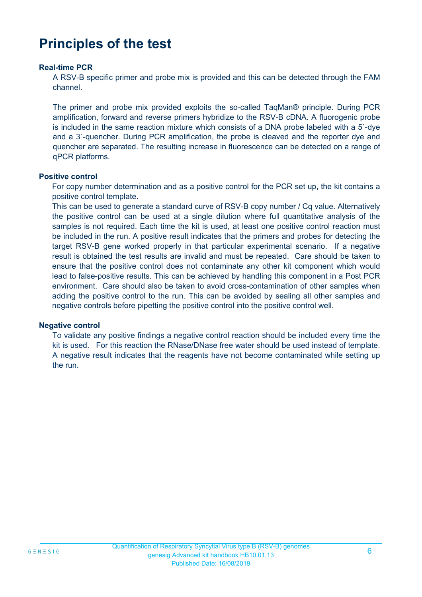# **Principles of the test**

#### **Real-time PCR**

A RSV-B specific primer and probe mix is provided and this can be detected through the FAM channel.

The primer and probe mix provided exploits the so-called TaqMan® principle. During PCR amplification, forward and reverse primers hybridize to the RSV-B cDNA. A fluorogenic probe is included in the same reaction mixture which consists of a DNA probe labeled with a 5`-dye and a 3`-quencher. During PCR amplification, the probe is cleaved and the reporter dye and quencher are separated. The resulting increase in fluorescence can be detected on a range of qPCR platforms.

#### **Positive control**

For copy number determination and as a positive control for the PCR set up, the kit contains a positive control template.

This can be used to generate a standard curve of RSV-B copy number / Cq value. Alternatively the positive control can be used at a single dilution where full quantitative analysis of the samples is not required. Each time the kit is used, at least one positive control reaction must be included in the run. A positive result indicates that the primers and probes for detecting the target RSV-B gene worked properly in that particular experimental scenario. If a negative result is obtained the test results are invalid and must be repeated. Care should be taken to ensure that the positive control does not contaminate any other kit component which would lead to false-positive results. This can be achieved by handling this component in a Post PCR environment. Care should also be taken to avoid cross-contamination of other samples when adding the positive control to the run. This can be avoided by sealing all other samples and negative controls before pipetting the positive control into the positive control well.

#### **Negative control**

To validate any positive findings a negative control reaction should be included every time the kit is used. For this reaction the RNase/DNase free water should be used instead of template. A negative result indicates that the reagents have not become contaminated while setting up the run.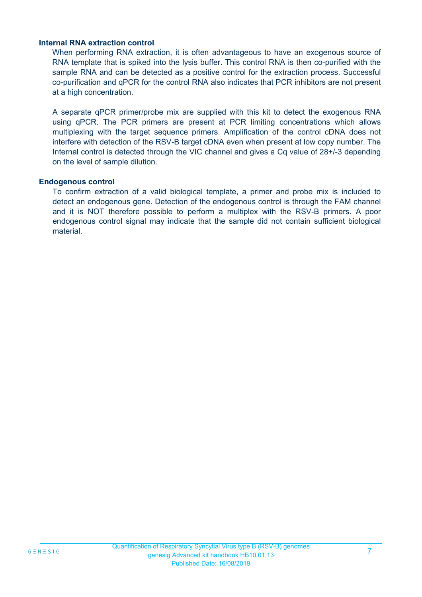#### **Internal RNA extraction control**

When performing RNA extraction, it is often advantageous to have an exogenous source of RNA template that is spiked into the lysis buffer. This control RNA is then co-purified with the sample RNA and can be detected as a positive control for the extraction process. Successful co-purification and qPCR for the control RNA also indicates that PCR inhibitors are not present at a high concentration.

A separate qPCR primer/probe mix are supplied with this kit to detect the exogenous RNA using qPCR. The PCR primers are present at PCR limiting concentrations which allows multiplexing with the target sequence primers. Amplification of the control cDNA does not interfere with detection of the RSV-B target cDNA even when present at low copy number. The Internal control is detected through the VIC channel and gives a Cq value of 28+/-3 depending on the level of sample dilution.

#### **Endogenous control**

To confirm extraction of a valid biological template, a primer and probe mix is included to detect an endogenous gene. Detection of the endogenous control is through the FAM channel and it is NOT therefore possible to perform a multiplex with the RSV-B primers. A poor endogenous control signal may indicate that the sample did not contain sufficient biological material.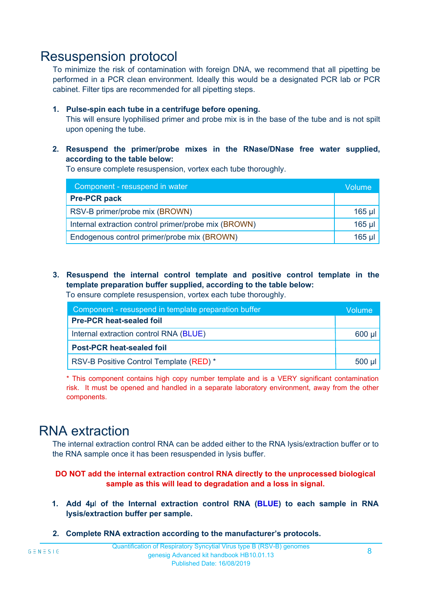### Resuspension protocol

To minimize the risk of contamination with foreign DNA, we recommend that all pipetting be performed in a PCR clean environment. Ideally this would be a designated PCR lab or PCR cabinet. Filter tips are recommended for all pipetting steps.

#### **1. Pulse-spin each tube in a centrifuge before opening.**

This will ensure lyophilised primer and probe mix is in the base of the tube and is not spilt upon opening the tube.

**2. Resuspend the primer/probe mixes in the RNase/DNase free water supplied, according to the table below:**

To ensure complete resuspension, vortex each tube thoroughly.

| Component - resuspend in water                       |          |  |
|------------------------------------------------------|----------|--|
| <b>Pre-PCR pack</b>                                  |          |  |
| RSV-B primer/probe mix (BROWN)                       | $165$ µl |  |
| Internal extraction control primer/probe mix (BROWN) | $165$ µl |  |
| Endogenous control primer/probe mix (BROWN)          |          |  |

**3. Resuspend the internal control template and positive control template in the template preparation buffer supplied, according to the table below:** To ensure complete resuspension, vortex each tube thoroughly.

| Component - resuspend in template preparation buffer |          |  |
|------------------------------------------------------|----------|--|
| <b>Pre-PCR heat-sealed foil</b>                      |          |  |
| Internal extraction control RNA (BLUE)               |          |  |
| <b>Post-PCR heat-sealed foil</b>                     |          |  |
| RSV-B Positive Control Template (RED) *              | $500$ µl |  |

\* This component contains high copy number template and is a VERY significant contamination risk. It must be opened and handled in a separate laboratory environment, away from the other components.

### RNA extraction

The internal extraction control RNA can be added either to the RNA lysis/extraction buffer or to the RNA sample once it has been resuspended in lysis buffer.

#### **DO NOT add the internal extraction control RNA directly to the unprocessed biological sample as this will lead to degradation and a loss in signal.**

- **1. Add 4µ**l **of the Internal extraction control RNA (BLUE) to each sample in RNA lysis/extraction buffer per sample.**
- **2. Complete RNA extraction according to the manufacturer's protocols.**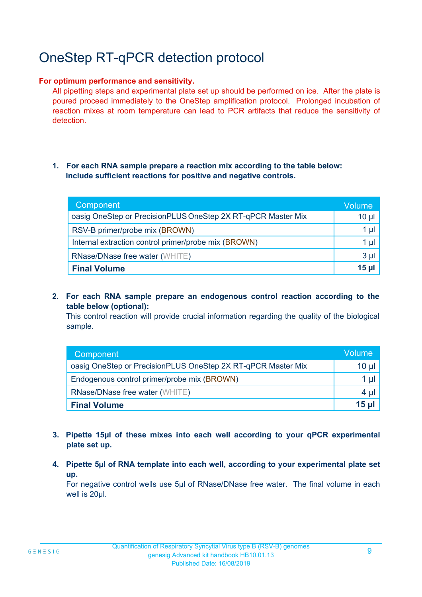# OneStep RT-qPCR detection protocol

#### **For optimum performance and sensitivity.**

All pipetting steps and experimental plate set up should be performed on ice. After the plate is poured proceed immediately to the OneStep amplification protocol. Prolonged incubation of reaction mixes at room temperature can lead to PCR artifacts that reduce the sensitivity of detection.

#### **1. For each RNA sample prepare a reaction mix according to the table below: Include sufficient reactions for positive and negative controls.**

| Component                                                    | <b>Volume</b> |
|--------------------------------------------------------------|---------------|
| oasig OneStep or PrecisionPLUS OneStep 2X RT-qPCR Master Mix | $10 \mu$      |
| RSV-B primer/probe mix (BROWN)                               | 1 µl          |
| Internal extraction control primer/probe mix (BROWN)         | 1 µl          |
| <b>RNase/DNase free water (WHITE)</b>                        | $3 \mu$       |
| <b>Final Volume</b>                                          | $15$ µ        |

**2. For each RNA sample prepare an endogenous control reaction according to the table below (optional):**

This control reaction will provide crucial information regarding the quality of the biological sample.

| Component                                                    | Volume |
|--------------------------------------------------------------|--------|
| oasig OneStep or PrecisionPLUS OneStep 2X RT-qPCR Master Mix | 10 µl  |
| Endogenous control primer/probe mix (BROWN)                  | 1 µl   |
| <b>RNase/DNase free water (WHITE)</b>                        | 4 µl   |
| <b>Final Volume</b>                                          | 15 ul  |

- **3. Pipette 15µl of these mixes into each well according to your qPCR experimental plate set up.**
- **4. Pipette 5µl of RNA template into each well, according to your experimental plate set up.**

For negative control wells use 5µl of RNase/DNase free water. The final volume in each well is 20ul.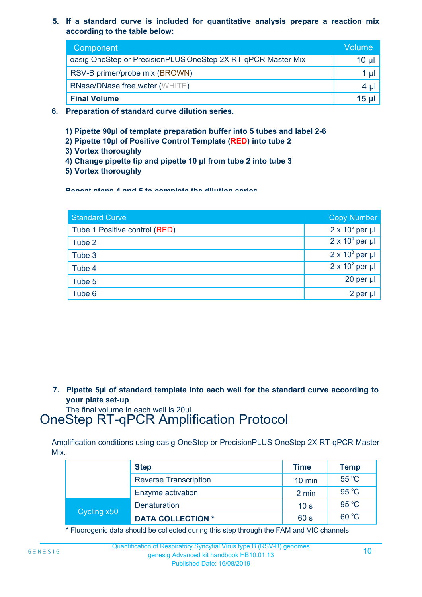**5. If a standard curve is included for quantitative analysis prepare a reaction mix according to the table below:**

| Component                                                    | Volume       |
|--------------------------------------------------------------|--------------|
| oasig OneStep or PrecisionPLUS OneStep 2X RT-qPCR Master Mix | $10 \mu$     |
| RSV-B primer/probe mix (BROWN)                               | 1 µı         |
| <b>RNase/DNase free water (WHITE)</b>                        | 4 µl         |
| <b>Final Volume</b>                                          | <b>15 ul</b> |

- **6. Preparation of standard curve dilution series.**
	- **1) Pipette 90µl of template preparation buffer into 5 tubes and label 2-6**
	- **2) Pipette 10µl of Positive Control Template (RED) into tube 2**
	- **3) Vortex thoroughly**
	- **4) Change pipette tip and pipette 10 µl from tube 2 into tube 3**
	- **5) Vortex thoroughly**

**Repeat steps 4 and 5 to complete the dilution series**

| <b>Standard Curve</b>         | <b>Copy Number</b>     |
|-------------------------------|------------------------|
| Tube 1 Positive control (RED) | $2 \times 10^5$ per µl |
| Tube 2                        | $2 \times 10^4$ per µl |
| Tube 3                        | $2 \times 10^3$ per µl |
| Tube 4                        | $2 \times 10^2$ per µl |
| Tube 5                        | 20 per µl              |
| Tube 6                        | 2 per µl               |

**7. Pipette 5µl of standard template into each well for the standard curve according to your plate set-up**

The final volume in each well is 20µl.

# OneStep RT-qPCR Amplification Protocol

Amplification conditions using oasig OneStep or PrecisionPLUS OneStep 2X RT-qPCR Master Mix.

|             | <b>Step</b>                  | <b>Time</b>      | <b>Temp</b> |
|-------------|------------------------------|------------------|-------------|
|             | <b>Reverse Transcription</b> | $10 \text{ min}$ | 55 °C       |
|             | Enzyme activation            | 2 min            | 95 °C       |
| Cycling x50 | <b>Denaturation</b>          | 10 <sub>s</sub>  | 95 °C       |
|             | <b>DATA COLLECTION *</b>     | 60 s             | 60 °C       |

\* Fluorogenic data should be collected during this step through the FAM and VIC channels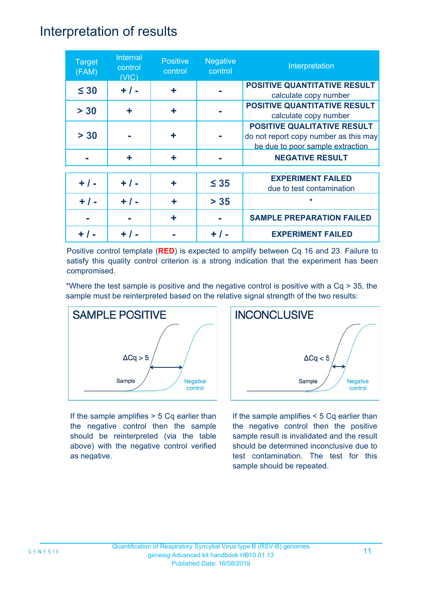### Interpretation of results

| <b>Target</b><br>(FAM) | Internal<br>control<br>(VIC) | <b>Positive</b><br>control | <b>Negative</b><br>control | Interpretation                                                                                                  |
|------------------------|------------------------------|----------------------------|----------------------------|-----------------------------------------------------------------------------------------------------------------|
| $\leq 30$              | $+ / -$                      | ÷                          |                            | <b>POSITIVE QUANTITATIVE RESULT</b><br>calculate copy number                                                    |
| > 30                   | ÷                            | ÷                          |                            | <b>POSITIVE QUANTITATIVE RESULT</b><br>calculate copy number                                                    |
| > 30                   |                              | ٠                          |                            | <b>POSITIVE QUALITATIVE RESULT</b><br>do not report copy number as this may<br>be due to poor sample extraction |
|                        | ÷                            | ٠                          |                            | <b>NEGATIVE RESULT</b>                                                                                          |
| $+ / -$                | $+ / -$                      | ٠                          | $\leq 35$                  | <b>EXPERIMENT FAILED</b><br>due to test contamination                                                           |
| $+ 1 -$                | $+ 1 -$                      | ÷                          | $> 35$                     | $\star$                                                                                                         |
|                        |                              |                            |                            | <b>SAMPLE PREPARATION FAILED</b>                                                                                |
|                        |                              |                            |                            | <b>EXPERIMENT FAILED</b>                                                                                        |

Positive control template (**RED**) is expected to amplify between Cq 16 and 23. Failure to satisfy this quality control criterion is a strong indication that the experiment has been compromised.

\*Where the test sample is positive and the negative control is positive with a Cq > 35, the sample must be reinterpreted based on the relative signal strength of the two results:



If the sample amplifies > 5 Cq earlier than the negative control then the sample should be reinterpreted (via the table above) with the negative control verified as negative.



If the sample amplifies < 5 Cq earlier than the negative control then the positive sample result is invalidated and the result should be determined inconclusive due to test contamination. The test for this sample should be repeated.